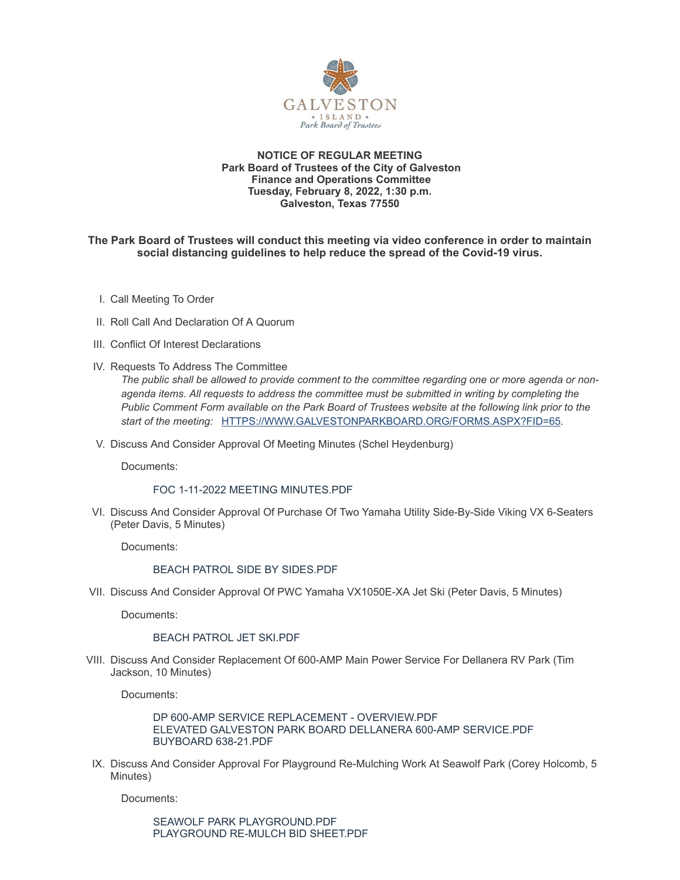

#### **NOTICE OF REGULAR MEETING Park Board of Trustees of the City of Galveston Finance and Operations Committee Tuesday, February 8, 2022, 1:30 p.m. Galveston, Texas 77550**

## **The Park Board of Trustees will conduct this meeting via video conference in order to maintain social distancing guidelines to help reduce the spread of the Covid-19 virus.**

- I. Call Meeting To Order
- II. Roll Call And Declaration Of A Quorum
- III. Conflict Of Interest Declarations
- IV. Requests To Address The Committee

*The public shall be allowed to provide comment to the committee regarding one or more agenda or nonagenda items. All requests to address the committee must be submitted in writing by completing the Public Comment Form available on the Park Board of Trustees website at the following link prior to the start of the meeting:* [HTTPS://WWW.GALVESTONPARKBOARD.ORG/FORMS.ASPX?FID=65](https://www.galvestonparkboard.org/forms.aspx?FID=65)*.*

V. Discuss And Consider Approval Of Meeting Minutes (Schel Heydenburg)

Documents:

## FOC 1-11-2022 MEETING [MINUTES.PDF](https://www.galvestonparkboard.org/AgendaCenter/ViewFile/Item/7323?fileID=10728)

VI. Discuss And Consider Approval Of Purchase Of Two Yamaha Utility Side-By-Side Viking VX 6-Seaters (Peter Davis, 5 Minutes)

Documents:

## BEACH PATROL SIDE BY [SIDES.PDF](https://www.galvestonparkboard.org/AgendaCenter/ViewFile/Item/7324?fileID=10733)

VII. Discuss And Consider Approval Of PWC Yamaha VX1050E-XA Jet Ski (Peter Davis, 5 Minutes)

Documents:

## BEACH [PATROL](https://www.galvestonparkboard.org/AgendaCenter/ViewFile/Item/7325?fileID=10734) JET SKI.PDF

VIII. Discuss And Consider Replacement Of 600-AMP Main Power Service For Dellanera RV Park (Tim Jackson, 10 Minutes)

Documents:

DP 600-AMP SERVICE REPLACEMENT - [OVERVIEW.PDF](https://www.galvestonparkboard.org/AgendaCenter/ViewFile/Item/7254?fileID=10725) ELEVATED GALVESTON PARK BOARD DELLANERA 600-AMP [SERVICE.PDF](https://www.galvestonparkboard.org/AgendaCenter/ViewFile/Item/7254?fileID=10699) [BUYBOARD](https://www.galvestonparkboard.org/AgendaCenter/ViewFile/Item/7254?fileID=10701) 638-21.PDF

IX. Discuss And Consider Approval For Playground Re-Mulching Work At Seawolf Park (Corey Holcomb, 5 Minutes)

Documents:

SEAWOLF PARK [PLAYGROUND.PDF](https://www.galvestonparkboard.org/AgendaCenter/ViewFile/Item/7252?fileID=10732) [PLAYGROUND](https://www.galvestonparkboard.org/AgendaCenter/ViewFile/Item/7252?fileID=10695) RE-MULCH BID SHEET.PDF